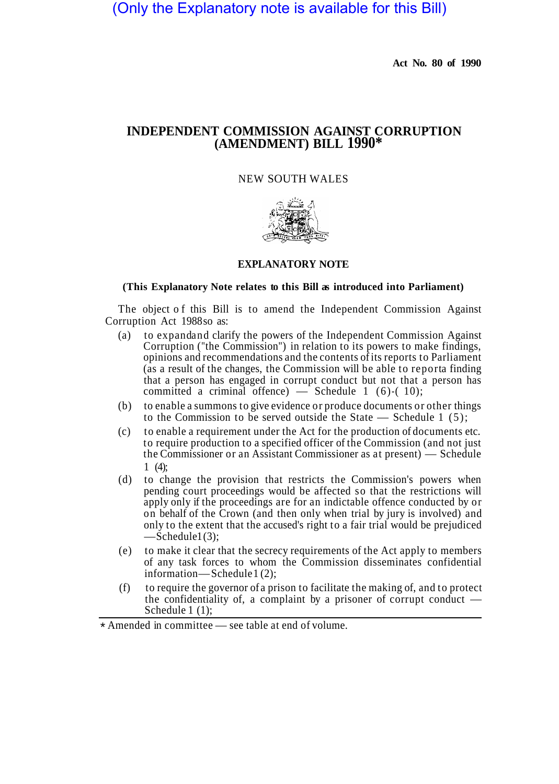(Only the Explanatory note is available for this Bill)

**Act No. 80 of 1990** 

## **INDEPENDENT COMMISSION AGAINST CORRUPTION (AMENDMENT) BILL 1990\***

## NEW SOUTH WALES



## **EXPLANATORY NOTE**

## **(This Explanatory Note relates to this Bill as introduced into Parliament)**

The object of this Bill is to amend the Independent Commission Against Corruption Act 1988 so as:

- (a) to expandand clarify the powers of the Independent Commission Against Corruption ("the Commission") in relation to its powers to make findings, opinions and recommendations and the contents of its reports to Parliament (as a result of the changes, the Commission will be able to reporta finding that a person has engaged in corrupt conduct but not that a person has committed a criminal offence) — Schedule 1 (6)-(10);
- (b) to enable a summons to give evidence or produce documents or other things to the Commission to be served outside the State — Schedule 1 (5);
- (c) to enable a requirement under the Act for the production of documents etc. to require production to a specified officer of the Commission (and not just the Commissioner or an Assistant Commissioner as at present) — Schedule 1 (4);
- (d) to change the provision that restricts the Commission's powers when pending court proceedings would be affected so that the restrictions will apply only if the proceedings are for an indictable offence conducted by or on behalf of the Crown (and then only when trial by jury is involved) and only to the extent that the accused's right to a fair trial would be prejudiced  $-$ Schedule $1(3)$ ;
- (e) to make it clear that the secrecy requirements of the Act apply to members of any task forces to whom the Commission disseminates confidential information—Schedule 1(2);
- (f) to require the governor of a prison to facilitate the making of, and to protect the confidentiality of, a complaint by a prisoner of corrupt conduct — Schedule 1 (1);

Amended in committee — see table at end of volume. \*